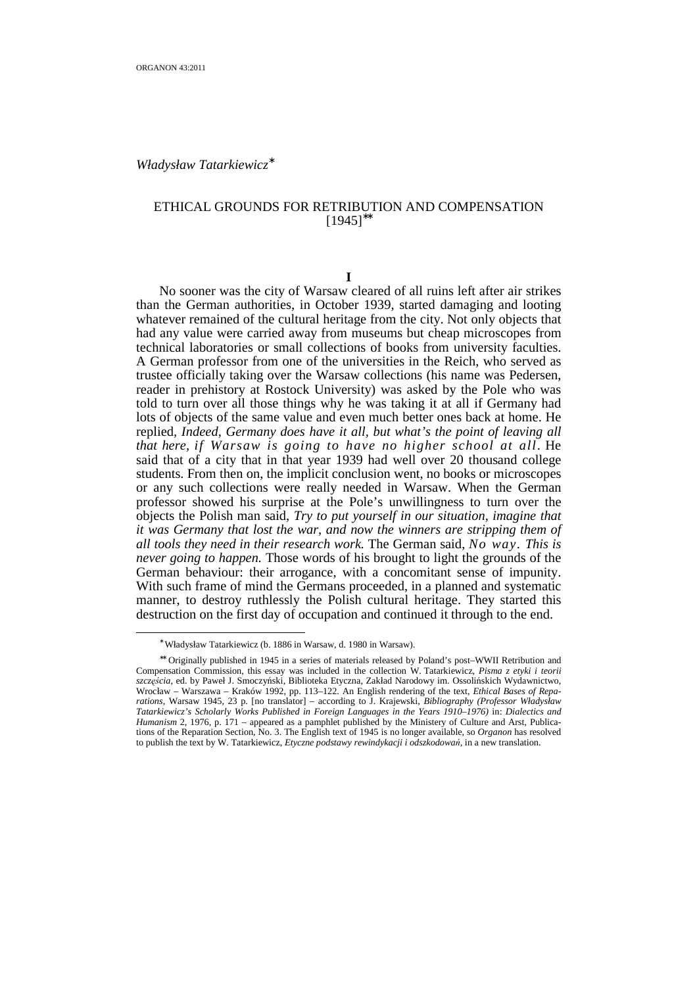$\overline{a}$ 

*Władysław Tatarkiewicz*<sup>∗</sup>

# ETHICAL GROUNDS FOR RETRIBUTION AND COMPENSATION [1945]∗∗

### **I**

 No sooner was the city of Warsaw cleared of all ruins left after air strikes than the German authorities, in October 1939, started damaging and looting whatever remained of the cultural heritage from the city. Not only objects that had any value were carried away from museums but cheap microscopes from technical laboratories or small collections of books from university faculties. A German professor from one of the universities in the Reich, who served as trustee officially taking over the Warsaw collections (his name was Pedersen, reader in prehistory at Rostock University) was asked by the Pole who was told to turn over all those things why he was taking it at all if Germany had lots of objects of the same value and even much better ones back at home. He replied, *Indeed, Germany does have it all, but what's the point of leaving all that here, if Warsaw is going to have no higher school at all*. He said that of a city that in that year 1939 had well over 20 thousand college students. From then on, the implicit conclusion went, no books or microscopes or any such collections were really needed in Warsaw. When the German professor showed his surprise at the Pole's unwillingness to turn over the objects the Polish man said, *Try to put yourself in our situation, imagine that it was Germany that lost the war, and now the winners are stripping them of all tools they need in their research work.* The German said, *No way. This is never going to happen.* Those words of his brought to light the grounds of the German behaviour: their arrogance, with a concomitant sense of impunity. With such frame of mind the Germans proceeded, in a planned and systematic manner, to destroy ruthlessly the Polish cultural heritage. They started this destruction on the first day of occupation and continued it through to the end.

<sup>∗</sup> Władysław Tatarkiewicz (b. 1886 in Warsaw, d. 1980 in Warsaw).

<sup>∗∗</sup> Originally published in 1945 in a series of materials released by Poland's post–WWII Retribution and Compensation Commission, this essay was included in the collection W. Tatarkiewicz, *Pisma z etyki i teorii szczęścia*, ed. by Paweł J. Smoczyński, Biblioteka Etyczna, Zakład Narodowy im. Ossolińskich Wydawnictwo, Wrocław – Warszawa – Kraków 1992, pp. 113–122. An English rendering of the text, *Ethical Bases of Reparations*, Warsaw 1945, 23 p. [no translator] – according to J. Krajewski, *Bibliography (Professor Władysław Tatarkiewicz's Scholarly Works Published in Foreign Languages in the Years 1910–1976)* in: *Dialectics and Humanism* 2, 1976, p. 171 – appeared as a pamphlet published by the Ministery of Culture and Arst, Publications of the Reparation Section, No. 3. The English text of 1945 is no longer available, so *Organon* has resolved to publish the text by W. Tatarkiewicz, *Etyczne podstawy rewindykacji i odszkodowań,* in a new translation.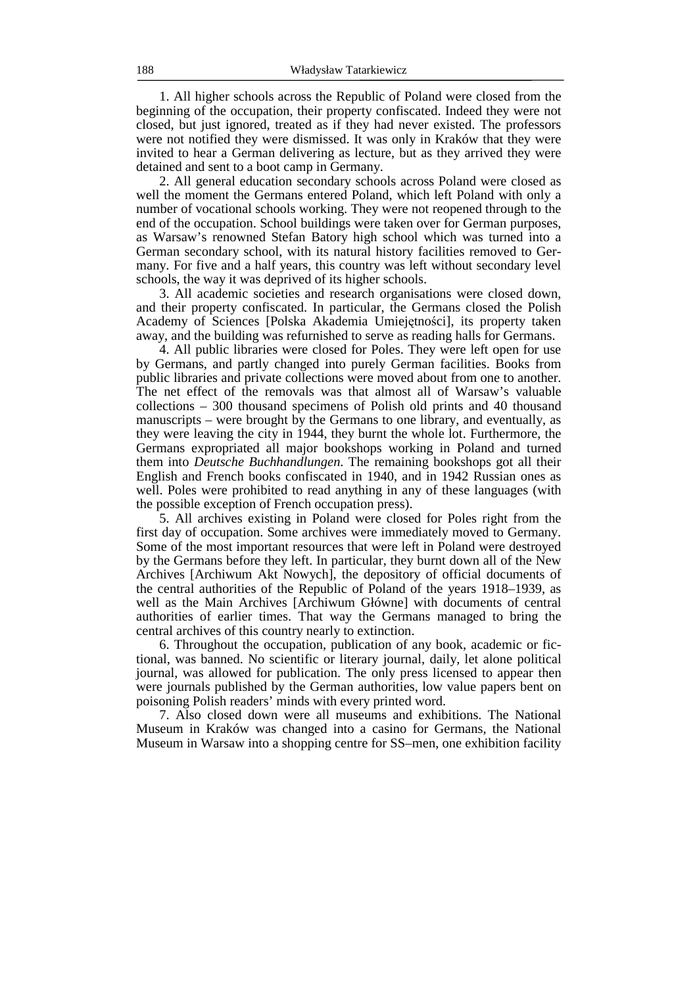1. All higher schools across the Republic of Poland were closed from the beginning of the occupation, their property confiscated. Indeed they were not closed, but just ignored, treated as if they had never existed. The professors were not notified they were dismissed. It was only in Kraków that they were invited to hear a German delivering as lecture, but as they arrived they were detained and sent to a boot camp in Germany.

 2. All general education secondary schools across Poland were closed as well the moment the Germans entered Poland, which left Poland with only a number of vocational schools working. They were not reopened through to the end of the occupation. School buildings were taken over for German purposes, as Warsaw's renowned Stefan Batory high school which was turned into a German secondary school, with its natural history facilities removed to Germany. For five and a half years, this country was left without secondary level schools, the way it was deprived of its higher schools.

 3. All academic societies and research organisations were closed down, and their property confiscated. In particular, the Germans closed the Polish Academy of Sciences [Polska Akademia Umiejętności], its property taken away, and the building was refurnished to serve as reading halls for Germans.

 4. All public libraries were closed for Poles. They were left open for use by Germans, and partly changed into purely German facilities. Books from public libraries and private collections were moved about from one to another. The net effect of the removals was that almost all of Warsaw's valuable collections – 300 thousand specimens of Polish old prints and 40 thousand manuscripts – were brought by the Germans to one library, and eventually, as they were leaving the city in 1944, they burnt the whole lot. Furthermore, the Germans expropriated all major bookshops working in Poland and turned them into *Deutsche Buchhandlungen*. The remaining bookshops got all their English and French books confiscated in 1940, and in 1942 Russian ones as well. Poles were prohibited to read anything in any of these languages (with the possible exception of French occupation press).

 5. All archives existing in Poland were closed for Poles right from the first day of occupation. Some archives were immediately moved to Germany. Some of the most important resources that were left in Poland were destroyed by the Germans before they left. In particular, they burnt down all of the New Archives [Archiwum Akt Nowych], the depository of official documents of the central authorities of the Republic of Poland of the years 1918–1939, as well as the Main Archives [Archiwum Główne] with documents of central authorities of earlier times. That way the Germans managed to bring the central archives of this country nearly to extinction.

 6. Throughout the occupation, publication of any book, academic or fictional, was banned. No scientific or literary journal, daily, let alone political journal, was allowed for publication. The only press licensed to appear then were journals published by the German authorities, low value papers bent on poisoning Polish readers' minds with every printed word.

 7. Also closed down were all museums and exhibitions. The National Museum in Kraków was changed into a casino for Germans, the National Museum in Warsaw into a shopping centre for SS–men, one exhibition facility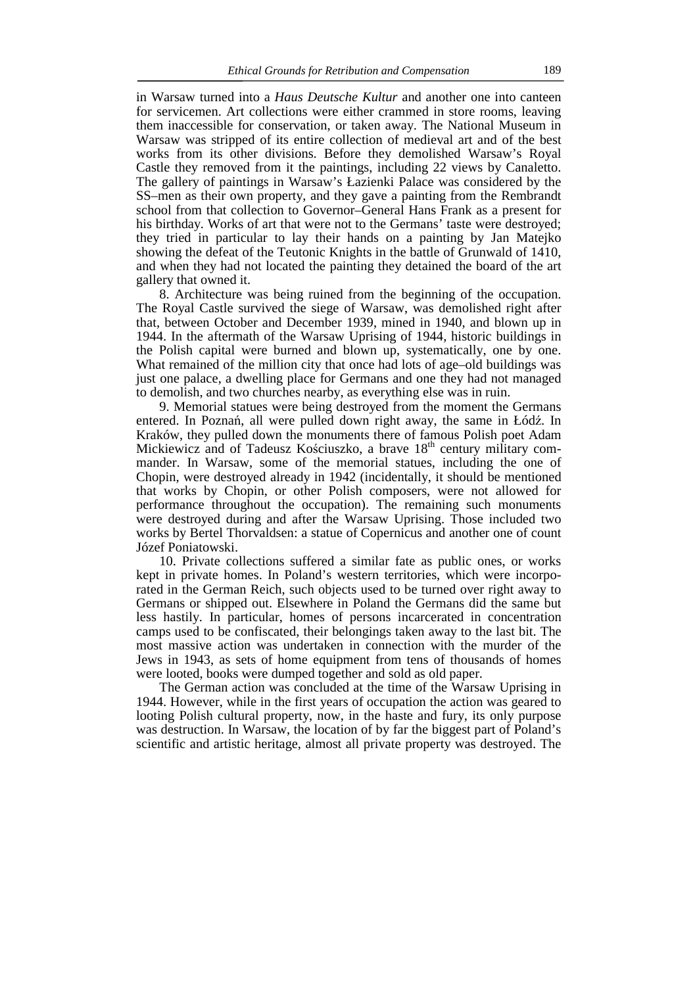in Warsaw turned into a *Haus Deutsche Kultur* and another one into canteen for servicemen. Art collections were either crammed in store rooms, leaving them inaccessible for conservation, or taken away. The National Museum in Warsaw was stripped of its entire collection of medieval art and of the best works from its other divisions. Before they demolished Warsaw's Royal Castle they removed from it the paintings, including 22 views by Canaletto. The gallery of paintings in Warsaw's Łazienki Palace was considered by the SS–men as their own property, and they gave a painting from the Rembrandt school from that collection to Governor–General Hans Frank as a present for his birthday. Works of art that were not to the Germans' taste were destroyed; they tried in particular to lay their hands on a painting by Jan Matejko showing the defeat of the Teutonic Knights in the battle of Grunwald of 1410, and when they had not located the painting they detained the board of the art gallery that owned it.

 8. Architecture was being ruined from the beginning of the occupation. The Royal Castle survived the siege of Warsaw, was demolished right after that, between October and December 1939, mined in 1940, and blown up in 1944. In the aftermath of the Warsaw Uprising of 1944, historic buildings in the Polish capital were burned and blown up, systematically, one by one. What remained of the million city that once had lots of age–old buildings was just one palace, a dwelling place for Germans and one they had not managed to demolish, and two churches nearby, as everything else was in ruin.

 9. Memorial statues were being destroyed from the moment the Germans entered. In Poznań, all were pulled down right away, the same in Łódź. In Kraków, they pulled down the monuments there of famous Polish poet Adam Mickiewicz and of Tadeusz Kościuszko, a brave 18<sup>th</sup> century military commander. In Warsaw, some of the memorial statues, including the one of Chopin, were destroyed already in 1942 (incidentally, it should be mentioned that works by Chopin, or other Polish composers, were not allowed for performance throughout the occupation). The remaining such monuments were destroyed during and after the Warsaw Uprising. Those included two works by Bertel Thorvaldsen: a statue of Copernicus and another one of count Józef Poniatowski.

 10. Private collections suffered a similar fate as public ones, or works kept in private homes. In Poland's western territories, which were incorporated in the German Reich, such objects used to be turned over right away to Germans or shipped out. Elsewhere in Poland the Germans did the same but less hastily. In particular, homes of persons incarcerated in concentration camps used to be confiscated, their belongings taken away to the last bit. The most massive action was undertaken in connection with the murder of the Jews in 1943, as sets of home equipment from tens of thousands of homes were looted, books were dumped together and sold as old paper.

 The German action was concluded at the time of the Warsaw Uprising in 1944. However, while in the first years of occupation the action was geared to looting Polish cultural property, now, in the haste and fury, its only purpose was destruction. In Warsaw, the location of by far the biggest part of Poland's scientific and artistic heritage, almost all private property was destroyed. The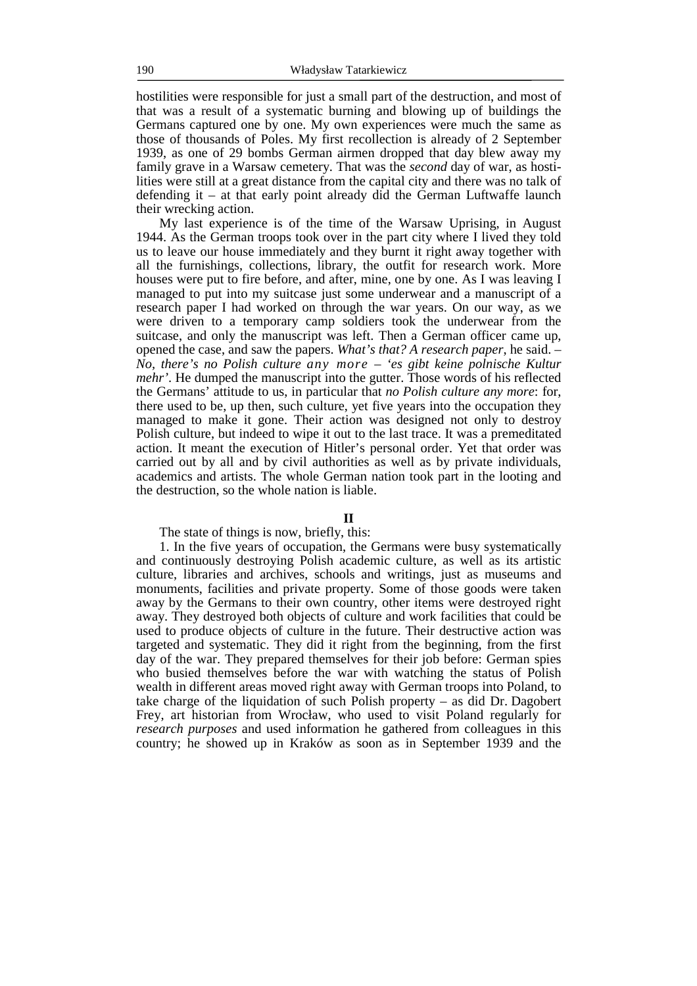hostilities were responsible for just a small part of the destruction, and most of that was a result of a systematic burning and blowing up of buildings the Germans captured one by one. My own experiences were much the same as those of thousands of Poles. My first recollection is already of 2 September 1939, as one of 29 bombs German airmen dropped that day blew away my family grave in a Warsaw cemetery. That was the *second* day of war, as hostilities were still at a great distance from the capital city and there was no talk of defending it – at that early point already did the German Luftwaffe launch their wrecking action.

 My last experience is of the time of the Warsaw Uprising, in August 1944. As the German troops took over in the part city where I lived they told us to leave our house immediately and they burnt it right away together with all the furnishings, collections, library, the outfit for research work. More houses were put to fire before, and after, mine, one by one. As I was leaving I managed to put into my suitcase just some underwear and a manuscript of a research paper I had worked on through the war years. On our way, as we were driven to a temporary camp soldiers took the underwear from the suitcase, and only the manuscript was left. Then a German officer came up, opened the case, and saw the papers. *What's that? A research paper*, he said. *– No, there's no Polish culture any more* – *'es gibt keine polnische Kultur mehr'*. He dumped the manuscript into the gutter. Those words of his reflected the Germans' attitude to us, in particular that *no Polish culture any more*: for, there used to be, up then, such culture, yet five years into the occupation they managed to make it gone. Their action was designed not only to destroy Polish culture, but indeed to wipe it out to the last trace. It was a premeditated action. It meant the execution of Hitler's personal order. Yet that order was carried out by all and by civil authorities as well as by private individuals, academics and artists. The whole German nation took part in the looting and the destruction, so the whole nation is liable.

### **II**

## The state of things is now, briefly, this:

 1. In the five years of occupation, the Germans were busy systematically and continuously destroying Polish academic culture, as well as its artistic culture, libraries and archives, schools and writings, just as museums and monuments, facilities and private property. Some of those goods were taken away by the Germans to their own country, other items were destroyed right away. They destroyed both objects of culture and work facilities that could be used to produce objects of culture in the future. Their destructive action was targeted and systematic. They did it right from the beginning, from the first day of the war. They prepared themselves for their job before: German spies who busied themselves before the war with watching the status of Polish wealth in different areas moved right away with German troops into Poland, to take charge of the liquidation of such Polish property – as did Dr. Dagobert Frey, art historian from Wrocław, who used to visit Poland regularly for *research purposes* and used information he gathered from colleagues in this country; he showed up in Kraków as soon as in September 1939 and the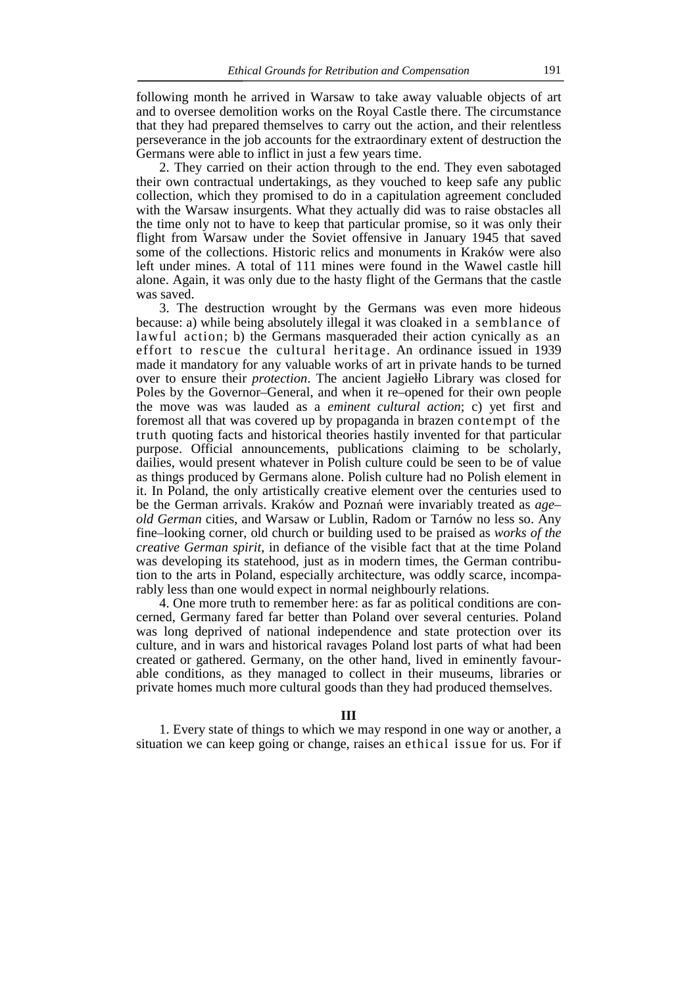following month he arrived in Warsaw to take away valuable objects of art and to oversee demolition works on the Royal Castle there. The circumstance that they had prepared themselves to carry out the action, and their relentless perseverance in the job accounts for the extraordinary extent of destruction the Germans were able to inflict in just a few years time.

 2. They carried on their action through to the end. They even sabotaged their own contractual undertakings, as they vouched to keep safe any public collection, which they promised to do in a capitulation agreement concluded with the Warsaw insurgents. What they actually did was to raise obstacles all the time only not to have to keep that particular promise, so it was only their flight from Warsaw under the Soviet offensive in January 1945 that saved some of the collections. Historic relics and monuments in Kraków were also left under mines. A total of 111 mines were found in the Wawel castle hill alone. Again, it was only due to the hasty flight of the Germans that the castle was saved.

 3. The destruction wrought by the Germans was even more hideous because: a) while being absolutely illegal it was cloaked in a semblance of lawful action; b) the Germans masqueraded their action cynically as an effort to rescue the cultural heritage. An ordinance issued in 1939 made it mandatory for any valuable works of art in private hands to be turned over to ensure their *protection*. The ancient Jagiełło Library was closed for Poles by the Governor–General, and when it re–opened for their own people the move was was lauded as a *eminent cultural action*; c) yet first and foremost all that was covered up by propaganda in brazen contempt of the truth quoting facts and historical theories hastily invented for that particular purpose. Official announcements, publications claiming to be scholarly, dailies, would present whatever in Polish culture could be seen to be of value as things produced by Germans alone. Polish culture had no Polish element in it. In Poland, the only artistically creative element over the centuries used to be the German arrivals. Kraków and Poznań were invariably treated as *age– old German* cities, and Warsaw or Lublin, Radom or Tarnów no less so. Any fine–looking corner, old church or building used to be praised as *works of the creative German spirit*, in defiance of the visible fact that at the time Poland was developing its statehood, just as in modern times, the German contribution to the arts in Poland, especially architecture, was oddly scarce, incomparably less than one would expect in normal neighbourly relations.

 4. One more truth to remember here: as far as political conditions are concerned, Germany fared far better than Poland over several centuries. Poland was long deprived of national independence and state protection over its culture, and in wars and historical ravages Poland lost parts of what had been created or gathered. Germany, on the other hand, lived in eminently favourable conditions, as they managed to collect in their museums, libraries or private homes much more cultural goods than they had produced themselves.

#### **III**

 1. Every state of things to which we may respond in one way or another, a situation we can keep going or change, raises an ethical issue for us. For if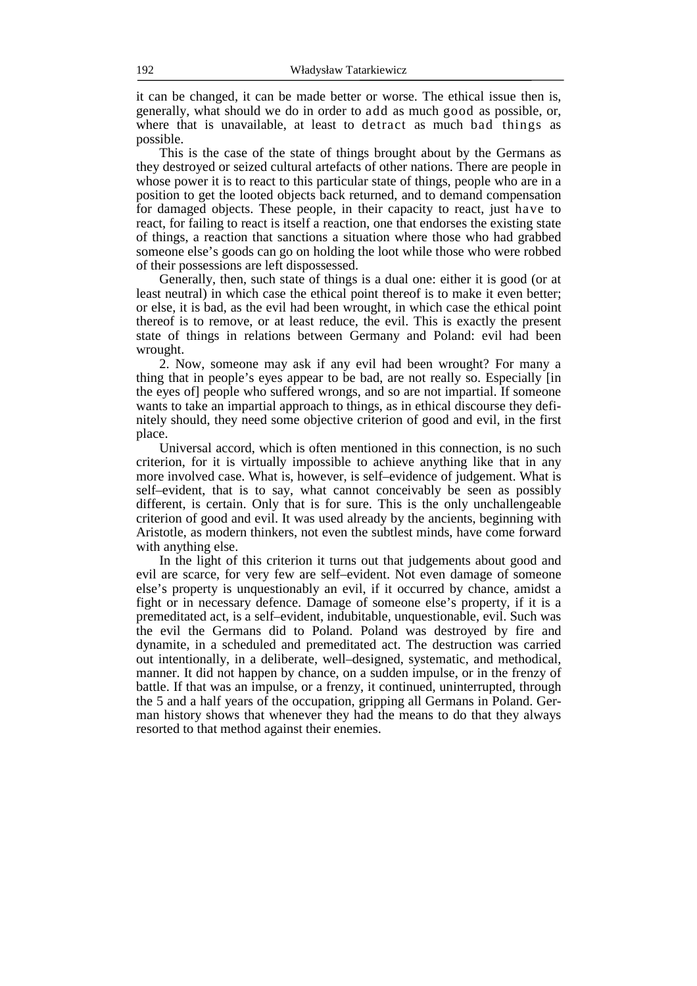it can be changed, it can be made better or worse. The ethical issue then is, generally, what should we do in order to add as much good as possible, or, where that is unavailable, at least to detract as much bad things as possible.

 This is the case of the state of things brought about by the Germans as they destroyed or seized cultural artefacts of other nations. There are people in whose power it is to react to this particular state of things, people who are in a position to get the looted objects back returned, and to demand compensation for damaged objects. These people, in their capacity to react, just have to react, for failing to react is itself a reaction, one that endorses the existing state of things, a reaction that sanctions a situation where those who had grabbed someone else's goods can go on holding the loot while those who were robbed of their possessions are left dispossessed.

 Generally, then, such state of things is a dual one: either it is good (or at least neutral) in which case the ethical point thereof is to make it even better; or else, it is bad, as the evil had been wrought, in which case the ethical point thereof is to remove, or at least reduce, the evil. This is exactly the present state of things in relations between Germany and Poland: evil had been wrought.

 2. Now, someone may ask if any evil had been wrought? For many a thing that in people's eyes appear to be bad, are not really so. Especially [in the eyes of] people who suffered wrongs, and so are not impartial. If someone wants to take an impartial approach to things, as in ethical discourse they definitely should, they need some objective criterion of good and evil, in the first place.

 Universal accord, which is often mentioned in this connection, is no such criterion, for it is virtually impossible to achieve anything like that in any more involved case. What is, however, is self–evidence of judgement. What is self–evident, that is to say, what cannot conceivably be seen as possibly different, is certain. Only that is for sure. This is the only unchallengeable criterion of good and evil. It was used already by the ancients, beginning with Aristotle, as modern thinkers, not even the subtlest minds, have come forward with anything else.

 In the light of this criterion it turns out that judgements about good and evil are scarce, for very few are self–evident. Not even damage of someone else's property is unquestionably an evil, if it occurred by chance, amidst a fight or in necessary defence. Damage of someone else's property, if it is a premeditated act, is a self–evident, indubitable, unquestionable, evil. Such was the evil the Germans did to Poland. Poland was destroyed by fire and dynamite, in a scheduled and premeditated act. The destruction was carried out intentionally, in a deliberate, well–designed, systematic, and methodical, manner. It did not happen by chance, on a sudden impulse, or in the frenzy of battle. If that was an impulse, or a frenzy, it continued, uninterrupted, through the 5 and a half years of the occupation, gripping all Germans in Poland. German history shows that whenever they had the means to do that they always resorted to that method against their enemies.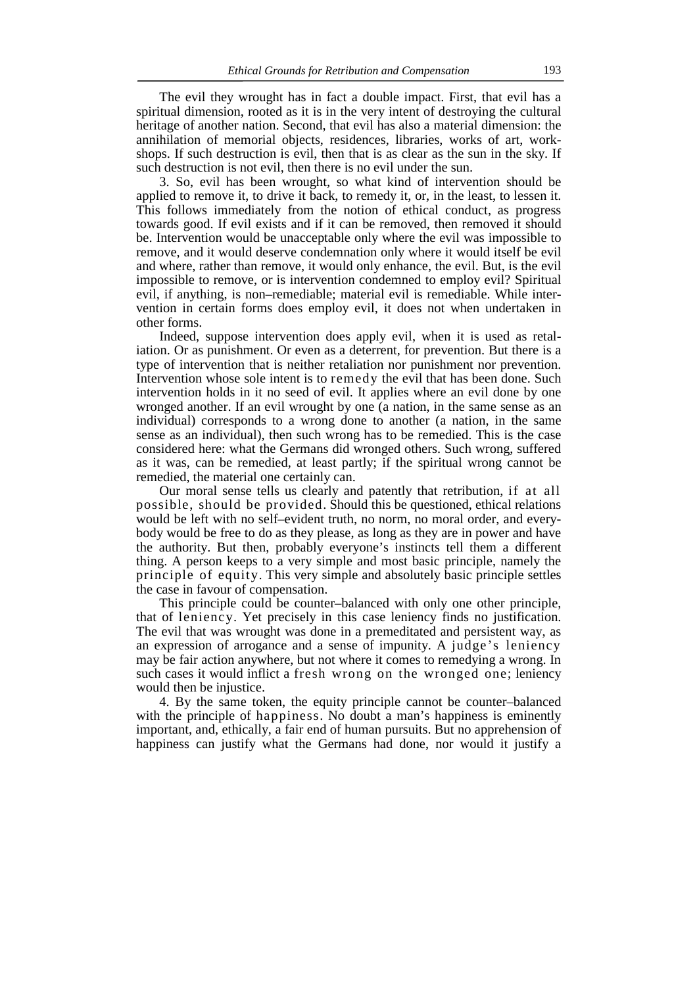The evil they wrought has in fact a double impact. First, that evil has a spiritual dimension, rooted as it is in the very intent of destroying the cultural heritage of another nation. Second, that evil has also a material dimension: the annihilation of memorial objects, residences, libraries, works of art, workshops. If such destruction is evil, then that is as clear as the sun in the sky. If such destruction is not evil, then there is no evil under the sun.

 3. So, evil has been wrought, so what kind of intervention should be applied to remove it, to drive it back, to remedy it, or, in the least, to lessen it. This follows immediately from the notion of ethical conduct, as progress towards good. If evil exists and if it can be removed, then removed it should be. Intervention would be unacceptable only where the evil was impossible to remove, and it would deserve condemnation only where it would itself be evil and where, rather than remove, it would only enhance, the evil. But, is the evil impossible to remove, or is intervention condemned to employ evil? Spiritual evil, if anything, is non–remediable; material evil is remediable. While intervention in certain forms does employ evil, it does not when undertaken in other forms.

 Indeed, suppose intervention does apply evil, when it is used as retaliation. Or as punishment. Or even as a deterrent, for prevention. But there is a type of intervention that is neither retaliation nor punishment nor prevention. Intervention whose sole intent is to remedy the evil that has been done. Such intervention holds in it no seed of evil. It applies where an evil done by one wronged another. If an evil wrought by one (a nation, in the same sense as an individual) corresponds to a wrong done to another (a nation, in the same sense as an individual), then such wrong has to be remedied. This is the case considered here: what the Germans did wronged others. Such wrong, suffered as it was, can be remedied, at least partly; if the spiritual wrong cannot be remedied, the material one certainly can.

 Our moral sense tells us clearly and patently that retribution, if at all possible, should be provided. Should this be questioned, ethical relations would be left with no self–evident truth, no norm, no moral order, and everybody would be free to do as they please, as long as they are in power and have the authority. But then, probably everyone's instincts tell them a different thing. A person keeps to a very simple and most basic principle, namely the principle of equity. This very simple and absolutely basic principle settles the case in favour of compensation.

 This principle could be counter–balanced with only one other principle, that of leniency. Yet precisely in this case leniency finds no justification. The evil that was wrought was done in a premeditated and persistent way, as an expression of arrogance and a sense of impunity. A judge's leniency may be fair action anywhere, but not where it comes to remedying a wrong. In such cases it would inflict a fresh wrong on the wronged one; leniency would then be injustice.

 4. By the same token, the equity principle cannot be counter–balanced with the principle of happiness. No doubt a man's happiness is eminently important, and, ethically, a fair end of human pursuits. But no apprehension of happiness can justify what the Germans had done, nor would it justify a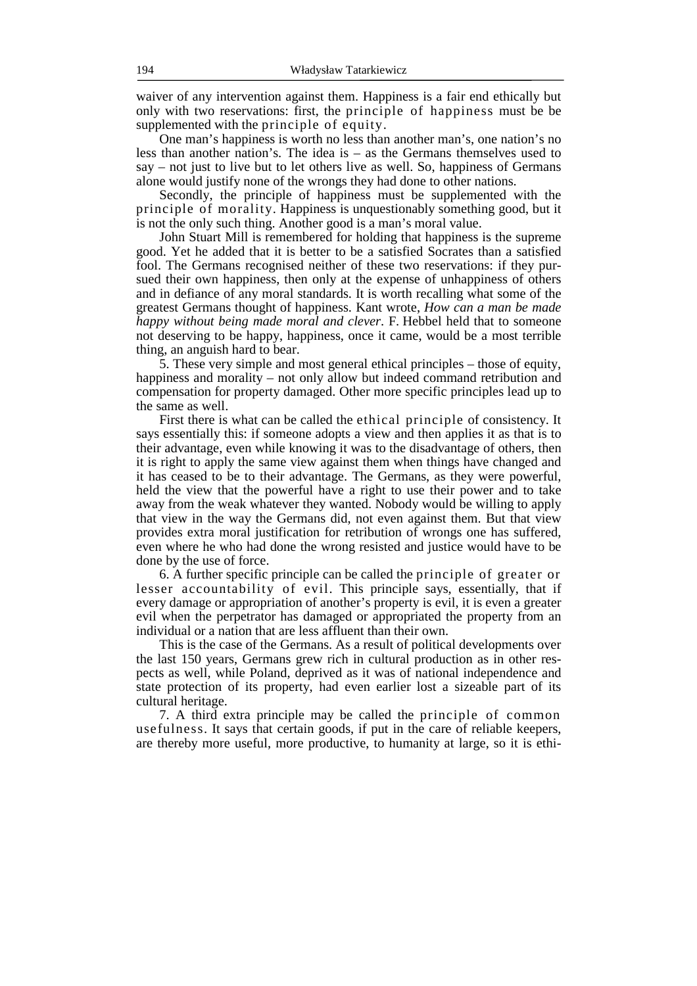waiver of any intervention against them. Happiness is a fair end ethically but only with two reservations: first, the principle of happiness must be be supplemented with the principle of equity.

 One man's happiness is worth no less than another man's, one nation's no less than another nation's. The idea is – as the Germans themselves used to say – not just to live but to let others live as well. So, happiness of Germans alone would justify none of the wrongs they had done to other nations.

 Secondly, the principle of happiness must be supplemented with the principle of morality. Happiness is unquestionably something good, but it is not the only such thing. Another good is a man's moral value.

 John Stuart Mill is remembered for holding that happiness is the supreme good. Yet he added that it is better to be a satisfied Socrates than a satisfied fool. The Germans recognised neither of these two reservations: if they pursued their own happiness, then only at the expense of unhappiness of others and in defiance of any moral standards. It is worth recalling what some of the greatest Germans thought of happiness. Kant wrote, *How can a man be made happy without being made moral and clever*. F. Hebbel held that to someone not deserving to be happy, happiness, once it came, would be a most terrible thing, an anguish hard to bear.

 5. These very simple and most general ethical principles – those of equity, happiness and morality – not only allow but indeed command retribution and compensation for property damaged. Other more specific principles lead up to the same as well.

 First there is what can be called the ethical principle of consistency. It says essentially this: if someone adopts a view and then applies it as that is to their advantage, even while knowing it was to the disadvantage of others, then it is right to apply the same view against them when things have changed and it has ceased to be to their advantage. The Germans, as they were powerful, held the view that the powerful have a right to use their power and to take away from the weak whatever they wanted. Nobody would be willing to apply that view in the way the Germans did, not even against them. But that view provides extra moral justification for retribution of wrongs one has suffered, even where he who had done the wrong resisted and justice would have to be done by the use of force.

 6. A further specific principle can be called the principle of greater or lesser accountability of evil. This principle says, essentially, that if every damage or appropriation of another's property is evil, it is even a greater evil when the perpetrator has damaged or appropriated the property from an individual or a nation that are less affluent than their own.

 This is the case of the Germans. As a result of political developments over the last 150 years, Germans grew rich in cultural production as in other respects as well, while Poland, deprived as it was of national independence and state protection of its property, had even earlier lost a sizeable part of its cultural heritage.

 7. A third extra principle may be called the principle of common usefulness. It says that certain goods, if put in the care of reliable keepers, are thereby more useful, more productive, to humanity at large, so it is ethi-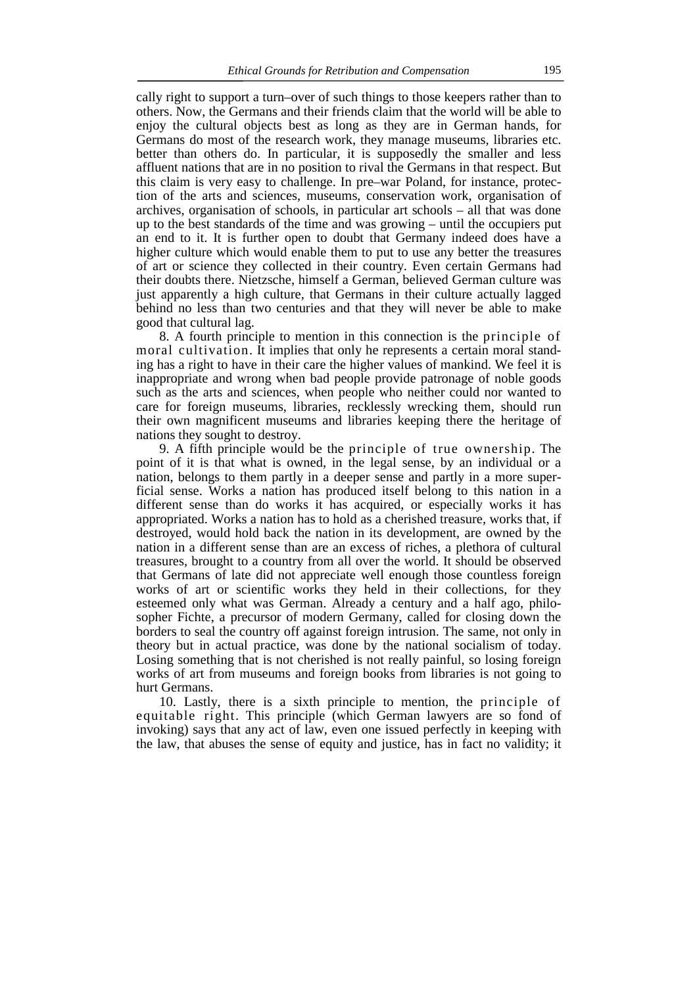cally right to support a turn–over of such things to those keepers rather than to others. Now, the Germans and their friends claim that the world will be able to enjoy the cultural objects best as long as they are in German hands, for Germans do most of the research work, they manage museums, libraries etc. better than others do. In particular, it is supposedly the smaller and less affluent nations that are in no position to rival the Germans in that respect. But this claim is very easy to challenge. In pre–war Poland, for instance, protection of the arts and sciences, museums, conservation work, organisation of archives, organisation of schools, in particular art schools – all that was done up to the best standards of the time and was growing – until the occupiers put an end to it. It is further open to doubt that Germany indeed does have a higher culture which would enable them to put to use any better the treasures of art or science they collected in their country. Even certain Germans had their doubts there. Nietzsche, himself a German, believed German culture was just apparently a high culture, that Germans in their culture actually lagged behind no less than two centuries and that they will never be able to make good that cultural lag.

 8. A fourth principle to mention in this connection is the principle of moral cultivation. It implies that only he represents a certain moral standing has a right to have in their care the higher values of mankind. We feel it is inappropriate and wrong when bad people provide patronage of noble goods such as the arts and sciences, when people who neither could nor wanted to care for foreign museums, libraries, recklessly wrecking them, should run their own magnificent museums and libraries keeping there the heritage of nations they sought to destroy.

 9. A fifth principle would be the principle of true ownership. The point of it is that what is owned, in the legal sense, by an individual or a nation, belongs to them partly in a deeper sense and partly in a more superficial sense. Works a nation has produced itself belong to this nation in a different sense than do works it has acquired, or especially works it has appropriated. Works a nation has to hold as a cherished treasure, works that, if destroyed, would hold back the nation in its development, are owned by the nation in a different sense than are an excess of riches, a plethora of cultural treasures, brought to a country from all over the world. It should be observed that Germans of late did not appreciate well enough those countless foreign works of art or scientific works they held in their collections, for they esteemed only what was German. Already a century and a half ago, philosopher Fichte, a precursor of modern Germany, called for closing down the borders to seal the country off against foreign intrusion. The same, not only in theory but in actual practice, was done by the national socialism of today. Losing something that is not cherished is not really painful, so losing foreign works of art from museums and foreign books from libraries is not going to hurt Germans.

 10. Lastly, there is a sixth principle to mention, the principle of equitable right. This principle (which German lawyers are so fond of invoking) says that any act of law, even one issued perfectly in keeping with the law, that abuses the sense of equity and justice, has in fact no validity; it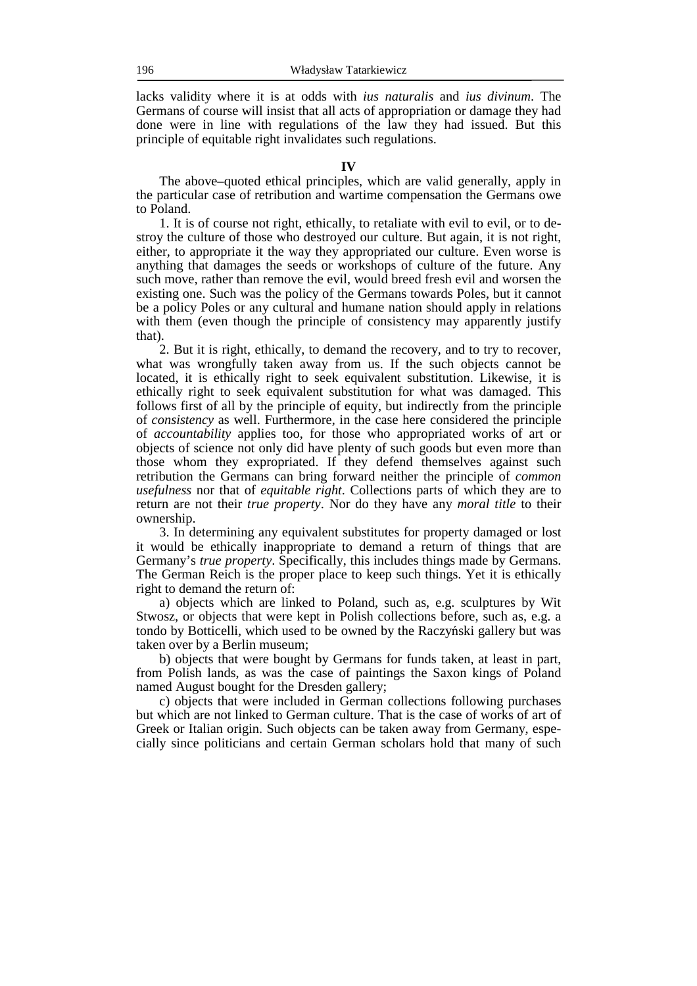lacks validity where it is at odds with *ius naturalis* and *ius divinum*. The Germans of course will insist that all acts of appropriation or damage they had done were in line with regulations of the law they had issued. But this principle of equitable right invalidates such regulations.

 The above–quoted ethical principles, which are valid generally, apply in the particular case of retribution and wartime compensation the Germans owe to Poland.

 1. It is of course not right, ethically, to retaliate with evil to evil, or to destroy the culture of those who destroyed our culture. But again, it is not right, either, to appropriate it the way they appropriated our culture. Even worse is anything that damages the seeds or workshops of culture of the future. Any such move, rather than remove the evil, would breed fresh evil and worsen the existing one. Such was the policy of the Germans towards Poles, but it cannot be a policy Poles or any cultural and humane nation should apply in relations with them (even though the principle of consistency may apparently justify that).

 2. But it is right, ethically, to demand the recovery, and to try to recover, what was wrongfully taken away from us. If the such objects cannot be located, it is ethically right to seek equivalent substitution. Likewise, it is ethically right to seek equivalent substitution for what was damaged. This follows first of all by the principle of equity, but indirectly from the principle of *consistency* as well. Furthermore, in the case here considered the principle of *accountability* applies too, for those who appropriated works of art or objects of science not only did have plenty of such goods but even more than those whom they expropriated. If they defend themselves against such retribution the Germans can bring forward neither the principle of *common usefulness* nor that of *equitable right*. Collections parts of which they are to return are not their *true property*. Nor do they have any *moral title* to their ownership.

 3. In determining any equivalent substitutes for property damaged or lost it would be ethically inappropriate to demand a return of things that are Germany's *true property*. Specifically, this includes things made by Germans. The German Reich is the proper place to keep such things. Yet it is ethically right to demand the return of:

 a) objects which are linked to Poland, such as, e.g. sculptures by Wit Stwosz, or objects that were kept in Polish collections before, such as, e.g. a tondo by Botticelli, which used to be owned by the Raczyński gallery but was taken over by a Berlin museum;

 b) objects that were bought by Germans for funds taken, at least in part, from Polish lands, as was the case of paintings the Saxon kings of Poland named August bought for the Dresden gallery;

 c) objects that were included in German collections following purchases but which are not linked to German culture. That is the case of works of art of Greek or Italian origin. Such objects can be taken away from Germany, especially since politicians and certain German scholars hold that many of such